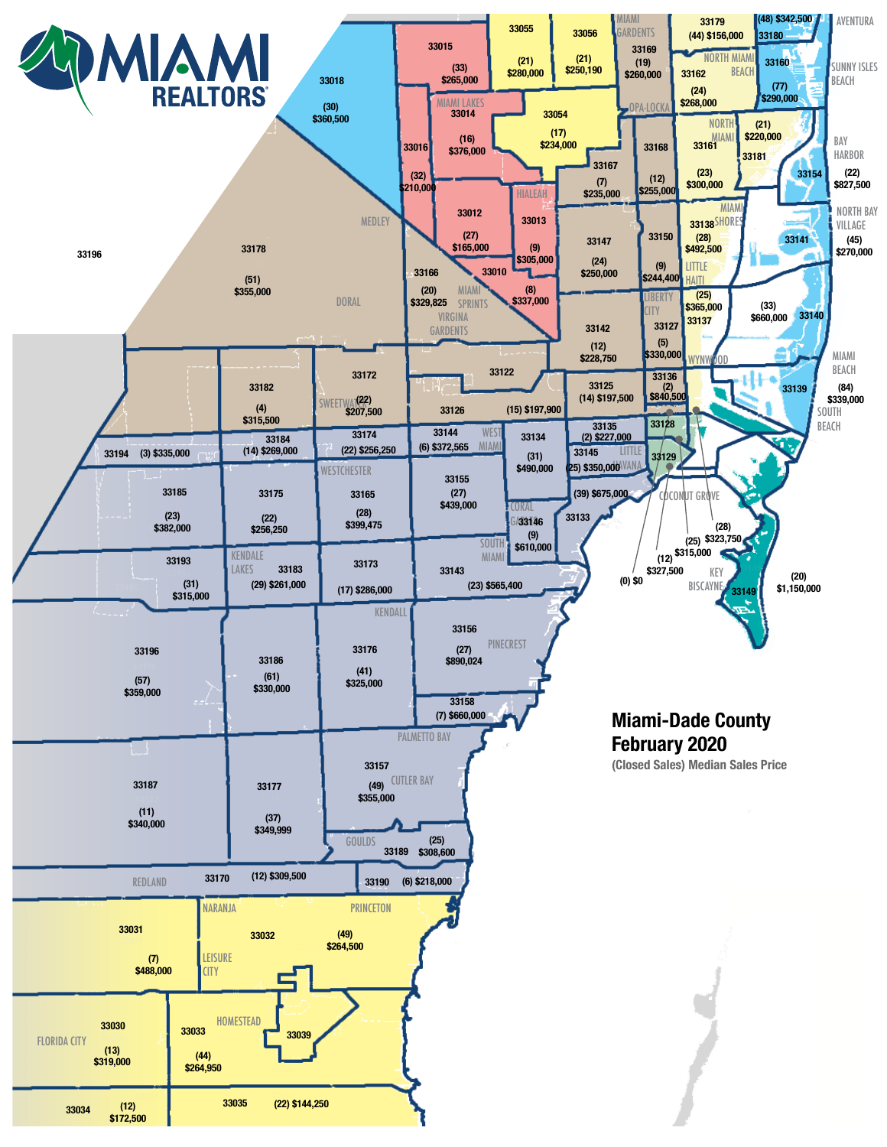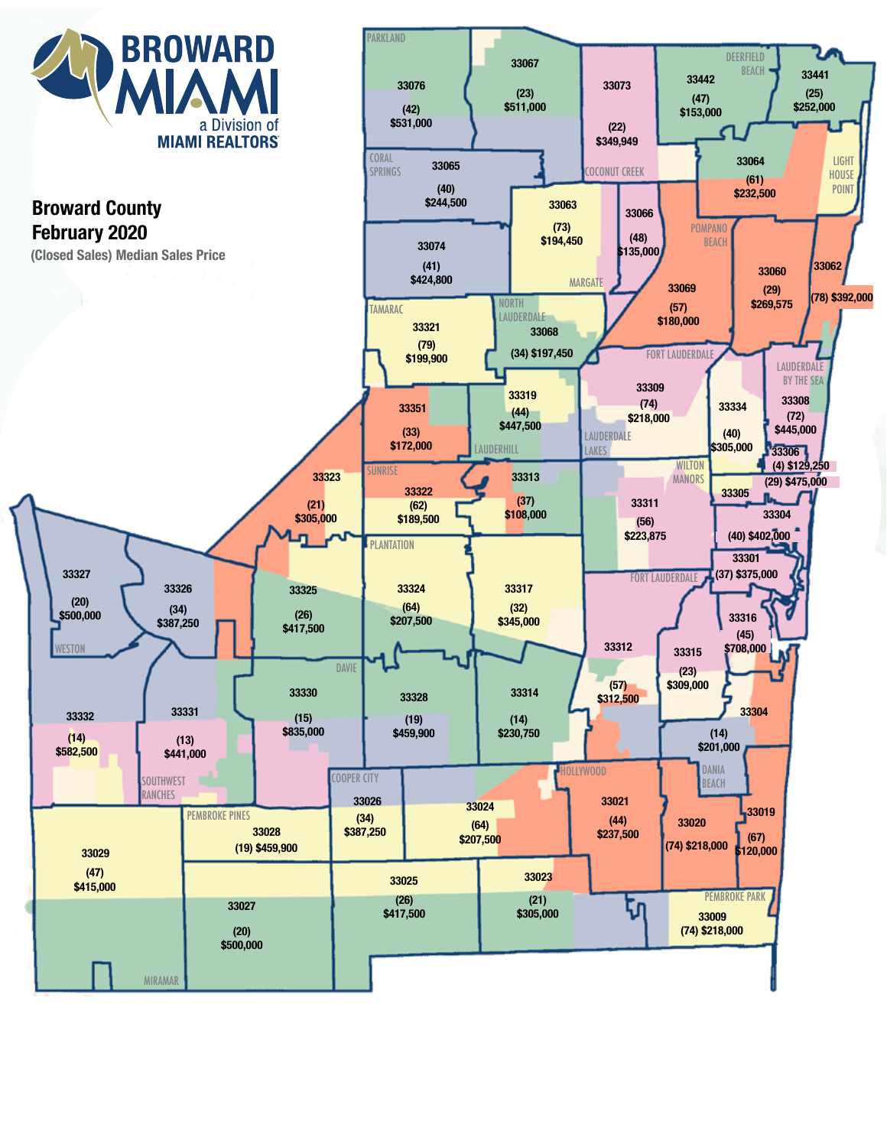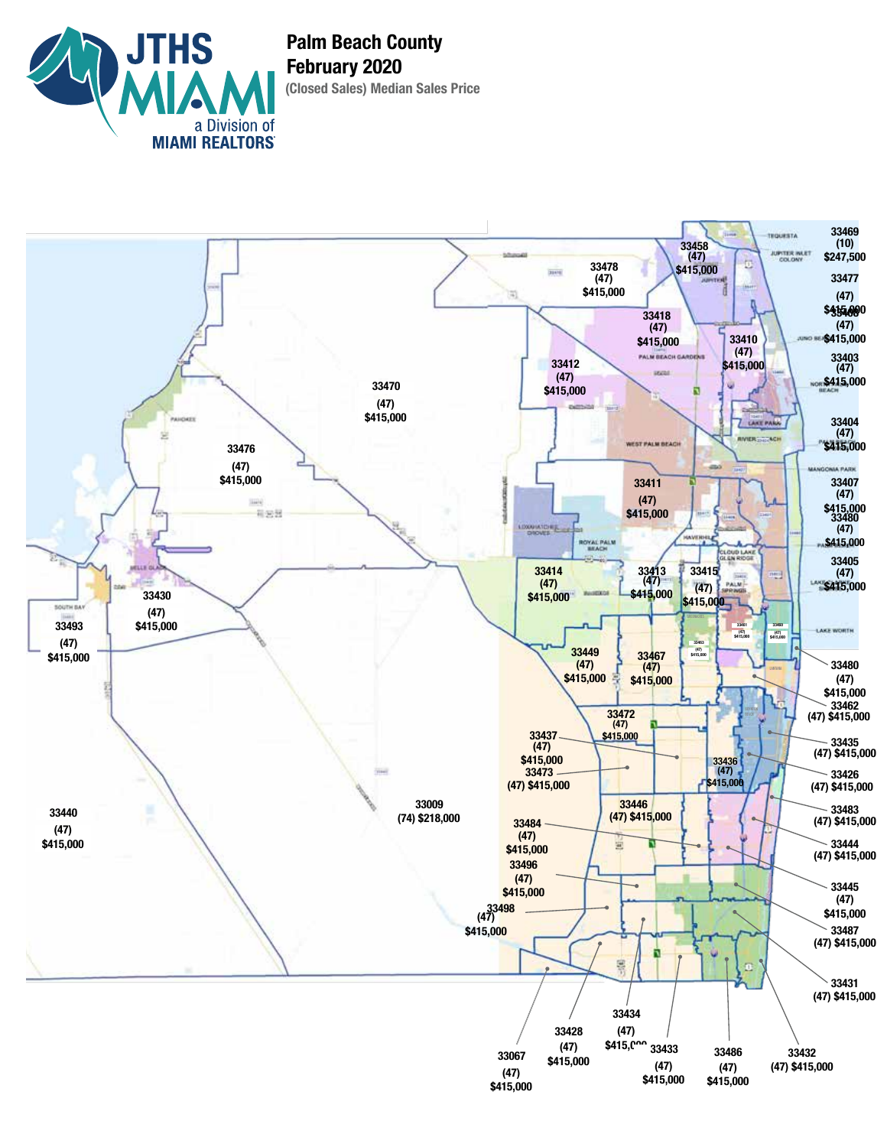

**(Closed Sales) Median Sales Price Palm Beach County February 2020**